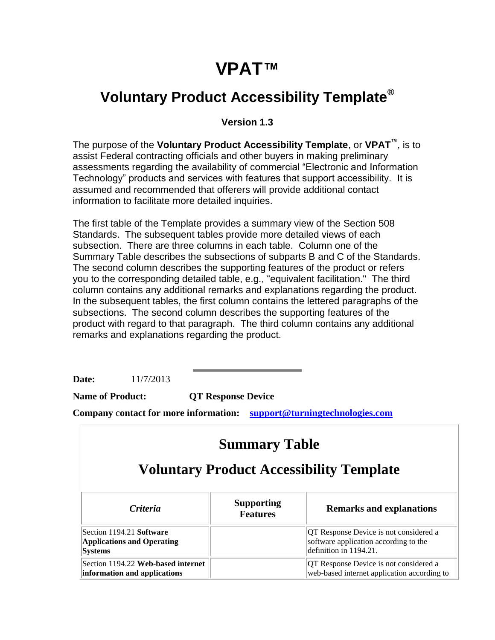# **VPAT™**

### **Voluntary Product Accessibility Template®**

#### **Version 1.3**

The purpose of the **Voluntary Product Accessibility Template**, or **VPAT™**, is to assist Federal contracting officials and other buyers in making preliminary assessments regarding the availability of commercial "Electronic and Information Technology" products and services with features that support accessibility. It is assumed and recommended that offerers will provide additional contact information to facilitate more detailed inquiries.

The first table of the Template provides a summary view of the Section 508 Standards. The subsequent tables provide more detailed views of each subsection. There are three columns in each table. Column one of the Summary Table describes the subsections of subparts B and C of the Standards. The second column describes the supporting features of the product or refers you to the corresponding detailed table, e.g., "equivalent facilitation." The third column contains any additional remarks and explanations regarding the product. In the subsequent tables, the first column contains the lettered paragraphs of the subsections. The second column describes the supporting features of the product with regard to that paragraph. The third column contains any additional remarks and explanations regarding the product.

**Date:** 11/7/2013

**Name of Product: QT Response Device**

**Company** c**ontact for more information: [support@turningtechnologies.com](mailto:support@turningtechnologies.com)**

| <b>Summary Table</b><br><b>Voluntary Product Accessibility Template</b>         |  |                                                                                                           |
|---------------------------------------------------------------------------------|--|-----------------------------------------------------------------------------------------------------------|
|                                                                                 |  |                                                                                                           |
| Section 1194.21 Software<br><b>Applications and Operating</b><br><b>Systems</b> |  | QT Response Device is not considered a<br>software application according to the<br>definition in 1194.21. |
| Section 1194.22 Web-based internet<br>information and applications              |  | QT Response Device is not considered a<br>web-based internet application according to                     |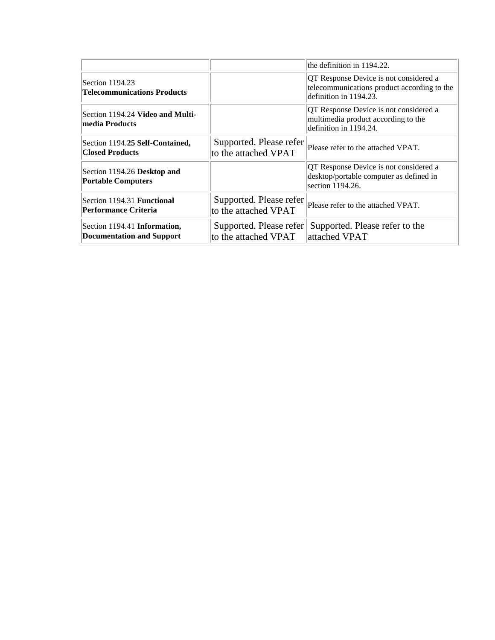|                                                                  |                                                 | the definition in 1194.22.                                                                                      |
|------------------------------------------------------------------|-------------------------------------------------|-----------------------------------------------------------------------------------------------------------------|
| Section 1194.23<br><b>Telecommunications Products</b>            |                                                 | QT Response Device is not considered a<br>telecommunications product according to the<br>definition in 1194.23. |
| Section 1194.24 Video and Multi-<br>media Products               |                                                 | QT Response Device is not considered a<br>multimedia product according to the<br>definition in 1194.24.         |
| Section 1194.25 Self-Contained,<br><b>Closed Products</b>        | Supported. Please refer<br>to the attached VPAT | Please refer to the attached VPAT.                                                                              |
| Section 1194.26 Desktop and<br><b>Portable Computers</b>         |                                                 | QT Response Device is not considered a<br>desktop/portable computer as defined in<br>section 1194.26.           |
| Section 1194.31 Functional<br><b>Performance Criteria</b>        | Supported. Please refer<br>to the attached VPAT | Please refer to the attached VPAT.                                                                              |
| Section 1194.41 Information,<br><b>Documentation and Support</b> | Supported. Please refer<br>to the attached VPAT | Supported. Please refer to the<br>attached VPAT                                                                 |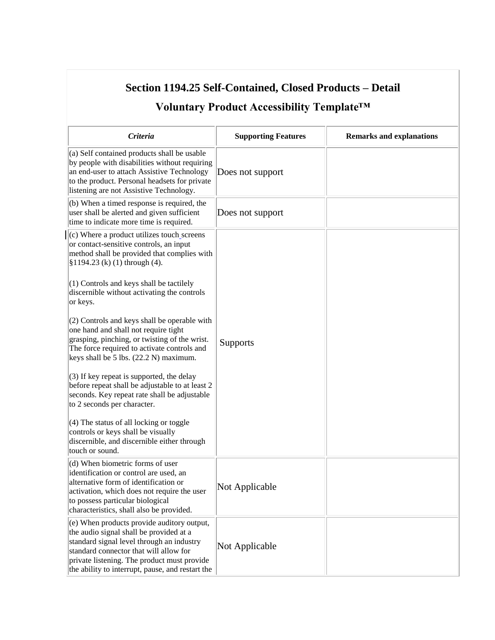| Voluntary Product Accessibility Template <sup>™</sup>                                                                                                                                                                                                                                                                                                                                                                                                                                                                                                                                                                                                                                                                                                                                                                                              |                            |                                 |  |
|----------------------------------------------------------------------------------------------------------------------------------------------------------------------------------------------------------------------------------------------------------------------------------------------------------------------------------------------------------------------------------------------------------------------------------------------------------------------------------------------------------------------------------------------------------------------------------------------------------------------------------------------------------------------------------------------------------------------------------------------------------------------------------------------------------------------------------------------------|----------------------------|---------------------------------|--|
| Criteria                                                                                                                                                                                                                                                                                                                                                                                                                                                                                                                                                                                                                                                                                                                                                                                                                                           | <b>Supporting Features</b> | <b>Remarks and explanations</b> |  |
| (a) Self contained products shall be usable<br>by people with disabilities without requiring<br>an end-user to attach Assistive Technology<br>to the product. Personal headsets for private<br>listening are not Assistive Technology.                                                                                                                                                                                                                                                                                                                                                                                                                                                                                                                                                                                                             | Does not support           |                                 |  |
| $(6)$ When a timed response is required, the<br>user shall be alerted and given sufficient<br>time to indicate more time is required.                                                                                                                                                                                                                                                                                                                                                                                                                                                                                                                                                                                                                                                                                                              | Does not support           |                                 |  |
| (c) Where a product utilizes touch_screens<br>or contact-sensitive controls, an input<br>method shall be provided that complies with<br>$$1194.23$ (k) (1) through (4).<br>(1) Controls and keys shall be tactilely<br>discernible without activating the controls<br>or keys.<br>(2) Controls and keys shall be operable with<br>one hand and shall not require tight<br>grasping, pinching, or twisting of the wrist.<br>The force required to activate controls and<br>keys shall be 5 lbs. (22.2 N) maximum.<br>(3) If key repeat is supported, the delay<br>before repeat shall be adjustable to at least 2<br>seconds. Key repeat rate shall be adjustable<br>to 2 seconds per character.<br>(4) The status of all locking or toggle<br>controls or keys shall be visually<br>discernible, and discernible either through<br>touch or sound. | Supports                   |                                 |  |
| (d) When biometric forms of user<br>identification or control are used, an<br>alternative form of identification or<br>activation, which does not require the user<br>to possess particular biological<br>characteristics, shall also be provided.                                                                                                                                                                                                                                                                                                                                                                                                                                                                                                                                                                                                 | Not Applicable             |                                 |  |
| (e) When products provide auditory output,<br>the audio signal shall be provided at a<br>standard signal level through an industry<br>standard connector that will allow for<br>private listening. The product must provide<br>the ability to interrupt, pause, and restart the                                                                                                                                                                                                                                                                                                                                                                                                                                                                                                                                                                    | Not Applicable             |                                 |  |

### **Section 1194.25 Self-Contained, Closed Products – Detail**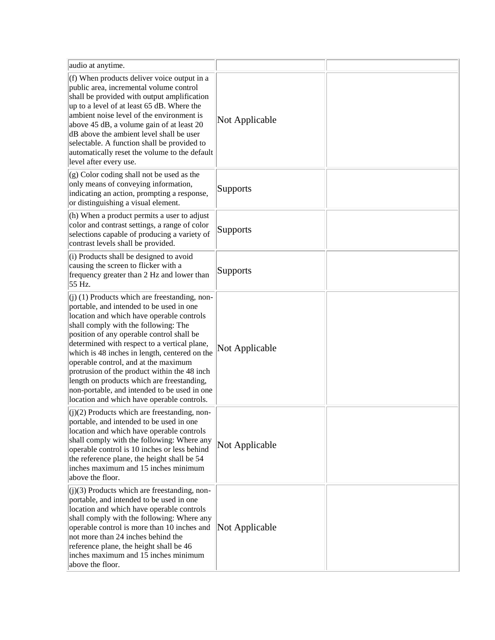| audio at anytime.                                                                                                                                                                                                                                                                                                                                                                                                                                                                                                                                                  |                 |  |
|--------------------------------------------------------------------------------------------------------------------------------------------------------------------------------------------------------------------------------------------------------------------------------------------------------------------------------------------------------------------------------------------------------------------------------------------------------------------------------------------------------------------------------------------------------------------|-----------------|--|
| (f) When products deliver voice output in a<br>public area, incremental volume control<br>shall be provided with output amplification<br>up to a level of at least 65 dB. Where the<br>ambient noise level of the environment is<br>above 45 dB, a volume gain of at least 20<br>dB above the ambient level shall be user<br>selectable. A function shall be provided to<br>automatically reset the volume to the default<br>level after every use.                                                                                                                | Not Applicable  |  |
| $(g)$ Color coding shall not be used as the<br>only means of conveying information,<br>indicating an action, prompting a response,<br>or distinguishing a visual element.                                                                                                                                                                                                                                                                                                                                                                                          | <b>Supports</b> |  |
| (h) When a product permits a user to adjust<br>color and contrast settings, a range of color<br>selections capable of producing a variety of<br>contrast levels shall be provided.                                                                                                                                                                                                                                                                                                                                                                                 | Supports        |  |
| $(i)$ Products shall be designed to avoid<br>causing the screen to flicker with a<br>frequency greater than 2 Hz and lower than<br>55 Hz.                                                                                                                                                                                                                                                                                                                                                                                                                          | Supports        |  |
| $(j)$ (1) Products which are freestanding, non-<br>portable, and intended to be used in one<br>location and which have operable controls<br>shall comply with the following: The<br>position of any operable control shall be<br>determined with respect to a vertical plane,<br>which is 48 inches in length, centered on the<br>operable control, and at the maximum<br>protrusion of the product within the 48 inch<br>length on products which are freestanding,<br>non-portable, and intended to be used in one<br>location and which have operable controls. | Not Applicable  |  |
| $(i)(2)$ Products which are freestanding, non-<br>portable, and intended to be used in one<br>location and which have operable controls<br>shall comply with the following: Where any<br>operable control is 10 inches or less behind<br>the reference plane, the height shall be 54<br>inches maximum and 15 inches minimum<br>above the floor.                                                                                                                                                                                                                   | Not Applicable  |  |
| $(j)(3)$ Products which are freestanding, non-<br>portable, and intended to be used in one<br>location and which have operable controls<br>shall comply with the following: Where any<br>operable control is more than 10 inches and<br>not more than 24 inches behind the<br>reference plane, the height shall be 46<br>inches maximum and 15 inches minimum<br>above the floor.                                                                                                                                                                                  | Not Applicable  |  |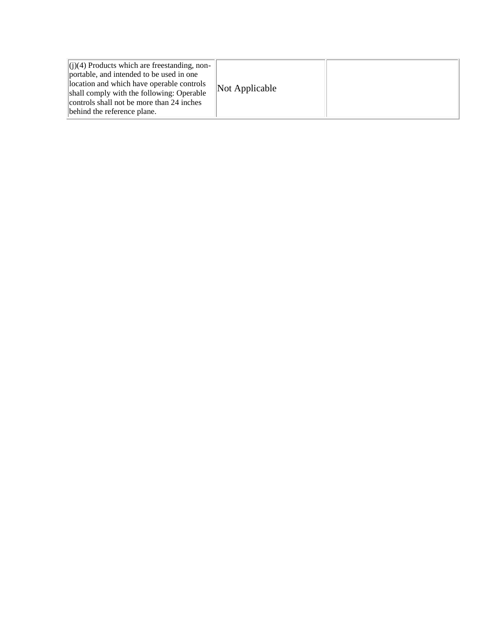|--|--|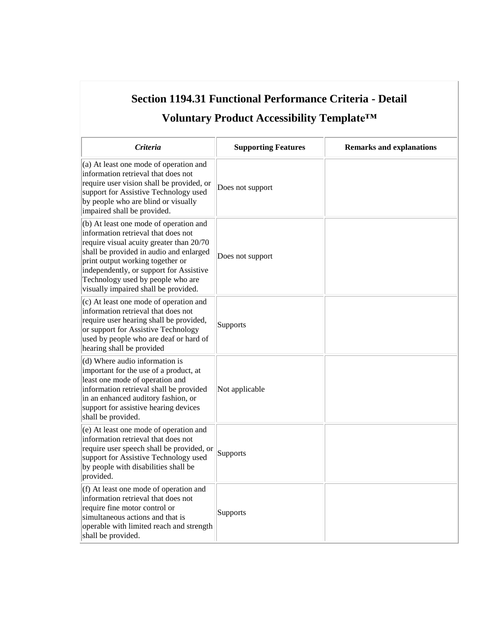| Section 1194.31 Functional Performance Criteria - Detail<br>Voluntary Product Accessibility Template™                                                                                                                                                                                                                            |                            |                                 |
|----------------------------------------------------------------------------------------------------------------------------------------------------------------------------------------------------------------------------------------------------------------------------------------------------------------------------------|----------------------------|---------------------------------|
| Criteria                                                                                                                                                                                                                                                                                                                         | <b>Supporting Features</b> | <b>Remarks and explanations</b> |
| (a) At least one mode of operation and<br>information retrieval that does not<br>require user vision shall be provided, or<br>support for Assistive Technology used<br>by people who are blind or visually<br>impaired shall be provided.                                                                                        | Does not support           |                                 |
| (b) At least one mode of operation and<br>information retrieval that does not<br>require visual acuity greater than 20/70<br>shall be provided in audio and enlarged<br>print output working together or<br>independently, or support for Assistive<br>Technology used by people who are<br>visually impaired shall be provided. | Does not support           |                                 |
| (c) At least one mode of operation and<br>information retrieval that does not<br>require user hearing shall be provided,<br>or support for Assistive Technology<br>used by people who are deaf or hard of<br>hearing shall be provided                                                                                           | Supports                   |                                 |
| (d) Where audio information is<br>important for the use of a product, at<br>least one mode of operation and<br>information retrieval shall be provided<br>in an enhanced auditory fashion, or<br>support for assistive hearing devices<br>shall be provided.                                                                     | Not applicable             |                                 |
| (e) At least one mode of operation and<br>information retrieval that does not<br>require user speech shall be provided, or<br>support for Assistive Technology used<br>by people with disabilities shall be<br>provided.                                                                                                         | Supports                   |                                 |
| (f) At least one mode of operation and<br>information retrieval that does not<br>require fine motor control or<br>simultaneous actions and that is<br>operable with limited reach and strength<br>shall be provided.                                                                                                             | Supports                   |                                 |